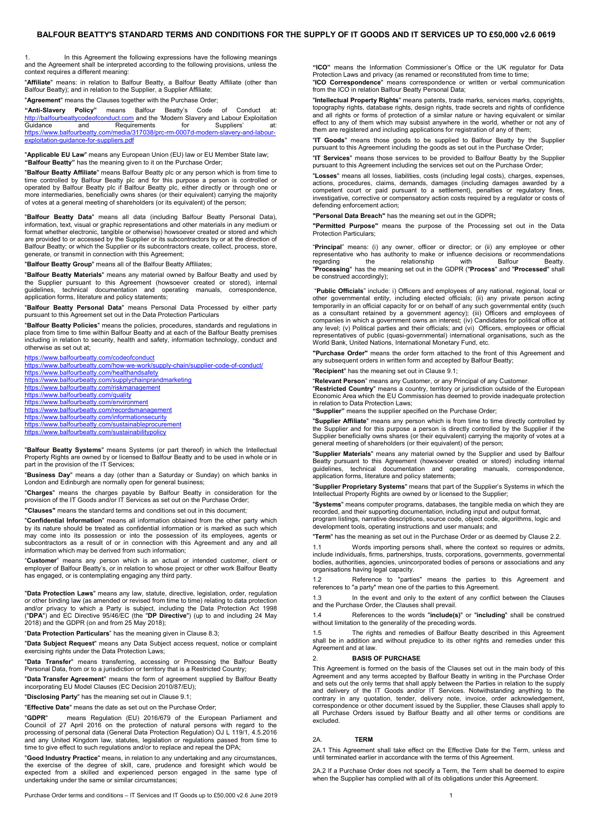<span id="page-0-0"></span>1. In this Agreement the following expressions have the following meanings and the Agreement shall be interpreted according to the following provisions, unless the context requires a different meaning:

"**Affiliate**" means: in relation to Balfour Beatty, a Balfour Beatty Affiliate (other than Balfour Beatty); and in relation to the Supplier, a Supplier Affiliate;

"**Agreement**" means the Clauses together with the Purchase Order;

**"Anti-Slavery Policy"** means Balfour Beatty's Code of Conduct at: [http://balfourbeattycodeofconduct.com](http://balfourbeattycodeofconduct.com/) and the 'Modern Slavery and Labour Exploitation<br>Guidance and Requirements for Suppliers' at: Requirements for Suppliers' at<br>media/317038/prc-rm-0007d-modern-slavery-and-labourhttps://www.balfourbeatty.com/media/317038/p [exploitation-guidance-for-suppliers.pdf](https://www.balfourbeatty.com/media/317038/prc-rm-0007d-modern-slavery-and-labour-exploitation-guidance-for-suppliers.pdf)

"**Applicable EU Law**" means any European Union (EU) law or EU Member State law; **"Balfour Beatty"** has the meaning given to it on the Purchase Order;

"**Balfour Beatty Affiliate**" means Balfour Beatty plc or any person which is from time to time controlled by Balfour Beatty plc and for this purpose a person is controlled or operated by Balfour Beatty plc if Balfour Beatty plc, either directly or through one or more intermediaries, beneficially owns shares (or their equivalent) carrying the majority of votes at a general meeting of shareholders (or its equivalent) of the person;

"**Balfour Beatty Data**" means all data (including Balfour Beatty Personal Data), information, text, visual or graphic representations and other materials in any medium or format whether electronic, tangible or otherwise) howsoever created or stored and which are provided to or accessed by the Supplier or its subcontractors by or at the direction of Balfour Beatty; or which the Supplier or its subcontractors create, collect, process, store, generate, or transmit in connection with this Agreement;

"**Balfour Beatty Group**" means all of the Balfour Beatty Affiliates;

"**Balfour Beatty Materials**" means any material owned by Balfour Beatty and used by the Supplier pursuant to this Agreement (howsoever created or stored), internal guidelines, technical documentation and operating manuals, correspondence, application forms, literature and policy statements;

"**Balfour Beatty Personal Data**" means Personal Data Processed by either party pursuant to this Agreement set out in the Data Protection Particulars

"**Balfour Beatty Policies**" means the policies, procedures, standards and regulations in place from time to time within Balfour Beatty and at each of the Balfour Beatty premises including in relation to security, health and safety, information technology, conduct and otherwise as set out at;

<https://www.balfourbeatty.com/codeofconduct>

<https://www.balfourbeatty.com/how-we-work/supply-chain/supplier-code-of-conduct/> <https://www.balfourbeatty.com/healthandsafety> <https://www.balfourbeatty.com/supplychainprandmarketing> <https://www.balfourbeatty.com/riskmanagement> <https://www.balfourbeatty.com/quality> <https://www.balfourbeatty.com/environment> <https://www.balfourbeatty.com/recordsmanagement> <https://www.balfourbeatty.com/informationsecurity> <https://www.balfourbeatty.com/sustainableprocurement> <https://www.balfourbeatty.com/sustainabilitypolicy>

"**Balfour Beatty Systems**" means Systems (or part thereof) in which the Intellectual Property Rights are owned by or licensed to Balfour Beatty and to be used in whole or in part in the provision of the IT Services;

"**Business Day**" means a day (other than a Saturday or Sunday) on which banks in London and Edinburgh are normally open for general business;

"**Charges**" means the charges payable by Balfour Beatty in consideration for the provision of the IT Goods and/or IT Services as set out on the Purchase Order;

**"Clauses"** means the standard terms and conditions set out in this document;

"**Confidential Information**" means all information obtained from the other party which by its nature should be treated as confidential information or is marked as such which may come into its possession or into the possession of its employees, agents or subcontractors as a result of or in connection with this Agreement and any and all information which may be derived from such information;

"**Customer**" means any person which is an actual or intended customer, client or employer of Balfour Beatty's, or in relation to whose project or other work Balfour Beatty has engaged, or is contemplating engaging any third party.

"**Data Protection Laws**" means any law, statute, directive, legislation, order, regulation or other binding law (as amended or revised from time to time) relating to data protection and/or privacy to which a Party is subject, including the Data Protection Act 1998 ("**DPA**") and EC Directive 95/46/EC (the "**DP Directive**") (up to and including 24 May 2018) and the GDPR (on and from 25 May 2018);

"**Data Protection Particulars**" has the meaning given in Clause 8.3;

"**Data Subject Request**" means any Data Subject access request, notice or complaint exercising rights under the Data Protection Laws;

"**Data Transfer**" means transferring, accessing or Processing the Balfour Beatty Personal Data, from or to a jurisdiction or territory that is a Restricted Country;

"**Data Transfer Agreement**" means the form of agreement supplied by Balfour Beatty incorporating EU Model Clauses (EC Decision 2010/87/EU);

"**Disclosing Party**" has the meaning set out in Clause [9.1;](#page-2-0)

"**Effective Date**" means the date as set out on the Purchase Order;

"**GDPR**" means Regulation (EU) 2016/679 of the European Parliament and Council of 27 April 2016 on the protection of natural persons with regard to the processing of personal data (General Data Protection Regulation) OJ L 119/1, 4.5.2016 and any United Kingdom law, statutes, legislation or regulations passed from time to time to give effect to such regulations and/or to replace and repeal the DPA;

"**Good Industry Practice**" means, in relation to any undertaking and any circumstances, the exercise of the degree of skill, care, prudence and foresight which would be expected from a skilled and experienced person engaged in the same type of undertaking under the same or similar circumstances;

Purchase Order terms and conditions – IT Services and IT Goods up to £50,000 v2.6 June 2019 1

**"ICO"** means the Information Commissioner's Office or the UK regulator for Data Protection Laws and privacy (as renamed or reconstituted from time to time; "**ICO Correspondence**" means correspondence or written or verbal communication from the ICO in relation Balfour Beatty Personal Data;

"**Intellectual Property Rights**" means patents, trade marks, services marks, copyrights, topography rights, database rights, design rights, trade secrets and rights of confidence<br>and all rights or forms of protection of a similar nature or having equivalent or similar<br>effect to any of them which may subsist an them are registered and including applications for registration of any of them;

"**IT Goods**" means those goods to be supplied to Balfour Beatty by the Supplier pursuant to this Agreement including the goods as set out in the Purchase Order;

"**IT Services**" means those services to be provided to Balfour Beatty by the Supplier pursuant to this Agreement including the services set out on the Purchase Order;

"**Losses**" means all losses, liabilities, costs (including legal costs), charges, expenses, actions, procedures, claims, demands, damages (including damages awarded by a competent court or paid pursuant to a settlement), penalties or regulatory fines, investigative, corrective or compensatory action costs required by a regulator or costs of defending enforcement action;

**"Personal Data Breach"** has the meaning set out in the GDPR**;** 

**"Permitted Purpose"** means the purpose of the Processing set out in the Data Protection Particulars;

"**Principal**" means: (i) any owner, officer or director; or (ii) any employee or other representative who has authority to make or influence decisions or recommendations regarding the relationship with Balfour Beatty.<br>"**Processing**" has the meaning set out in the GDPR ("**Process**" and "**Processed**" shall be construed accordingly);

"Public Officials" include: i) Officers and employees of any national, regional, local or<br>other governmental entity, including elected officials; (ii) any private person acting<br>temporarily in an official capacity for or on as a consultant retained by a government agency); (iii) Officers and employees of companies in which a government owns an interest; (iv) Candidates for political office at any level; (v) Political parties and their officials; and (vi) Officers, employees or official representatives of public (quasi-governmental) international organisations, such as the World Bank, United Nations, International Monetary Fund, etc.

**"Purchase Order"** means the order form attached to the front of this Agreement and any subsequent orders in written form and accepted by Balfour Beatty;

"**Recipient**" has the meaning set out in Clause 9.1;

"**Relevant Person**" means any Customer, or any Principal of any Customer.

"**Restricted Country**" means a country, territory or jurisdiction outside of the European Economic Area which the EU Commission has deemed to provide inadequate protection in relation to Data Protection Laws;

**"Supplier"** means the supplier specified on the Purchase Order;

"**Supplier Affiliate**" means any person which is from time to time directly controlled by the Supplier and for this purpose a person is directly controlled by the Supplier if the Supplier beneficially owns shares (or their equivalent) carrying the majority of votes at a general meeting of shareholders (or their equivalent) of the person;

"**Supplier Materials**" means any material owned by the Supplier and used by Balfour Beatty pursuant to this Agreement (howsoever created or stored) including internal guidelines, technical documentation and operating manuals, correspondence, application forms, literature and policy statements;

"**Supplier Proprietary Systems**" means that part of the Supplier's Systems in which the Intellectual Property Rights are owned by or licensed to the Supplier;

"**Systems**" means computer programs, databases, the tangible media on which they are recorded, and their supporting documentation, including input and output format, program listings, narrative descriptions, source code, object code, algorithms, logic and

development tools, operating instructions and user manuals; and

"**Term**" has the meaning as set out in the Purchase Order or as deemed by Clause 2.2.

Words importing persons shall, where the context so requires or admits, include individuals, firms, partnerships, trusts, corporations, governments, governmental bodies, authorities, agencies, unincorporated bodies of persons or associations and any organisations having legal capacity.

1.2 Reference to "parties" means the parties to this Agreement and references to "a party" mean one of the parties to this Agreement.

1.3 In the event and only to the extent of any conflict between the Clauses and the Purchase Order, the Clauses shall prevail.

1.4 References to the words "**include(s)**" or "**including**" shall be construed without limitation to the generality of the preceding words.

1.5 The rights and remedies of Balfour Beatty described in this Agreement shall be in addition and without prejudice to its other rights and remedies under this Agreement and at law.

#### 2. **BASIS OF PURCHASE**

This Agreement is formed on the basis of the Clauses set out in the main body of this Agreement and any terms accepted by Balfour Beatty in writing in the Purchase Order and sets out the only terms that shall apply between the Parties in relation to the supply<br>and delivery of the IT Goods and/or IT Services. Notwithstanding anything to the<br>contrary in any quotation, tender, delivery note, correspondence or other document issued by the Supplier, these Clauses shall apply to all Purchase Orders issued by Balfour Beatty and all other terms or conditions are excluded.

#### 2A. **TERM**

2A.1 This Agreement shall take effect on the Effective Date for the Term, unless and until terminated earlier in accordance with the terms of this Agreement.

2A.2 If a Purchase Order does not specify a Term, the Term shall be deemed to expire when the Supplier has complied with all of its obligations under this Agreement.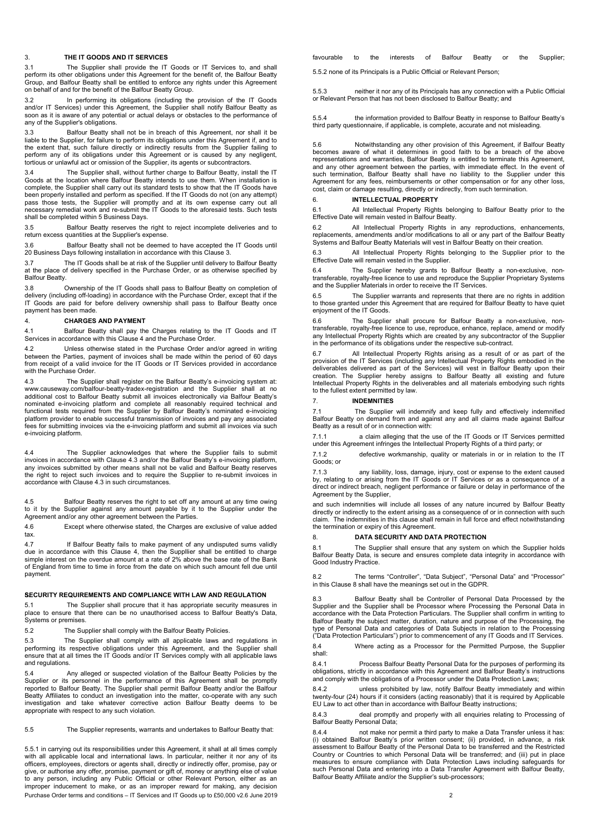### <span id="page-1-0"></span>3. **THE IT GOODS AND IT SERVICES**

<span id="page-1-3"></span>3.1 The Supplier shall provide the IT Goods or IT Services to, and shall perform its other obligations under this Agreement for the benefit of, the Balfour Beatty Group, and Balfour Beatty shall be entitled to enforce any rights under this Agreement on behalf of and for the benefit of the Balfour Beatty Group.

In performing its obligations (including the provision of the IT Goods and/or IT Services) under this Agreement, the Supplier shall notify Balfour Beatty as soon as it is aware of any potential or actual delays or obstacles to the performance of any of the Supplier's obligations.

3.3 Balfour Beatty shall not be in breach of this Agreement, nor shall it be liable to the Supplier, for failure to perform its obligations under this Agreement if, and to the extent that, such failure directly or indirectly results from the Supplier failing to perform any of its obligations under this Agreement or is caused by any negligent, tortious or unlawful act or omission of the Supplier, its agents or subcontractors.

3.4 The Supplier shall, without further charge to Balfour Beatty, install the IT Goods at the location where Balfour Beatty intends to use them. When installation is complete, the Supplier shall carry out its standard tests to show that the IT Goods have been properly installed and perform as specified. If the IT Goods do not (on any attempt) pass those tests, the Supplier will promptly and at its own expense carry out all necessary remedial work and re-submit the IT Goods to the aforesaid tests. Such tests shall be completed within 5 Business Days.

3.5 Balfour Beatty reserves the right to reject incomplete deliveries and to return excess quantities at the Supplier's expense.

3.6 Balfour Beatty shall not be deemed to have accepted the IT Goods until 20 Business Days following installation in accordance with this Claus[e 3.](#page-1-0)

3.7 The IT Goods shall be at risk of the Supplier until delivery to Balfour Beatty at the place of delivery specified in the Purchase Order, or as otherwise specified by Balfour Beatty.

3.8 Ownership of the IT Goods shall pass to Balfour Beatty on completion of delivery (including off-loading) in accordance with the Purchase Order, except that if the IT Goods are paid for before delivery ownership shall pass to Balfour Beatty once payment has been made.

# <span id="page-1-1"></span>4. **CHARGES AND PAYMENT**

4.1 Balfour Beatty shall pay the Charges relating to the IT Goods and IT Services in accordance with this Clause [4](#page-1-1) and the Purchase Order.

4.2 Unless otherwise stated in the Purchase Order and/or agreed in writing between the Parties, payment of invoices shall be made within the period of 60 days from receipt of a valid invoice for the IT Goods or IT Services provided in accordance with the Purchase Order.

4.3 The Supplier shall register on the Balfour Beatty's e-invoicing system at: www.causeway.com/balfour-beatty-tradex-registration and the Supplier shall at no additional cost to Balfour Beatty submit all invoices electronically via Balfour Beatty's nominated e-invoicing platform and complete all reasonably required technical and functional tests required from the Supplier by Balfour Beatty's nominated e-invoicing platform provider to enable successful transmission of invoices and pay any associated fees for submitting invoices via the e-invoicing platform and submit all invoices via such e-invoicing platform.

4.4 The Supplier acknowledges that where the Supplier fails to submit invoices in accordance with Clause 4.3 and/or the Balfour Beatty's e-invoicing platform, any invoices submitted by other means shall not be valid and Balfour Beatty reserves the right to reject such invoices and to require the Supplier to re-submit invoices in accordance with Clause 4.3 in such circumstances.

4.5 Balfour Beatty reserves the right to set off any amount at any time owing to it by the Supplier against any amount payable by it to the Supplier under the Agreement and/or any other agreement between the Parties.

4.6 Except where otherwise stated, the Charges are exclusive of value added tax.

4.7 If Balfour Beatty fails to make payment of any undisputed sums validly due in accordance with this Clause 4, then the Suppllier shall be entitled to charge simple interest on the overdue amount at a rate of 2% above the base rate of the Bank of England from time to time in force from the date on which such amount fell due until payment.

#### 5. **SECURITY REQUIREMENTS AND COMPLIANCE WITH LAW AND REGULATION**

5.1 The Supplier shall procure that it has appropriate security measures in place to ensure that there can be no unauthorised access to Balfour Beatty's Data, Systems or premises.

5.2 The Supplier shall comply with the Balfour Beatty Policies.

5.3 The Supplier shall comply with all applicable laws and regulations in performing its respective obligations under this Agreement, and the Supplier shall ensure that at all times the IT Goods and/or IT Services comply with all applicable laws and regulations.

5.4 Any alleged or suspected violation of the Balfour Beatty Policies by the Supplier or its personnel in the performance of this Agreement shall be promptly reported to Balfour Beatty. The Supplier shall permit Balfour Beatty and/or the Balfour Beatty Affiliates to conduct an investigation into the matter, co-operate with any such investigation and take whatever corrective action Balfour Beatty deems to be appropriate with respect to any such violation.

5.5 The Supplier represents, warrants and undertakes to Balfour Beatty that:

Purchase Order terms and conditions – IT Services and IT Goods up to £50,000 v2.6 June 2019 2 5.5.1 in carrying out its responsibilities under this Agreement, it shall at all times comply with all applicable local and international laws. In particular, neither it nor any of its officers, employees, directors or agents shall, directly or indirectly offer, promise, pay or give, or authorise any offer, promise, payment or gift of, money or anything else of value to any person, including any Public Official or other Relevant Person, either as an improper inducement to make, or as an improper reward for making, any decision

favourable to the interests of Balfour Beatty or the Supplier;

5.5.2 none of its Principals is a Public Official or Relevant Person;

5.5.3 neither it nor any of its Principals has any connection with a Public Official or Relevant Person that has not been disclosed to Balfour Beatty; and

5.5.4 the information provided to Balfour Beatty in response to Balfour Beatty's third party questionnaire, if applicable, is complete, accurate and not misleading.

5.6 Notwithstanding any other provision of this Agreement, if Balfour Beatty becomes aware of what it determines in good faith to be a breach of the above representations and warranties, Balfour Beatty is entitled to terminate this Agreement, and any other agreement between the parties, with immediate effect. In the event of such termination, Balfour Beatty shall have no liability to the Supplier under this Agreement for any fees, reimbursements or other compensation or for any other loss, cost, claim or damage resulting, directly or indirectly, from such termination.

### <span id="page-1-4"></span>6. **INTELLECTUAL PROPERTY**

6.1 All Intellectual Property Rights belonging to Balfour Beatty prior to the Effective Date will remain vested in Balfour Beatty.

6.2 All Intellectual Property Rights in any reproductions, enhancements, replacements, amendments and/or modifications to all or any part of the Balfour Beatty Systems and Balfour Beatty Materials will vest in Balfour Beatty on their creation.

6.3 All Intellectual Property Rights belonging to the Supplier prior to the Effective Date will remain vested in the Supplier.

6.4 The Supplier hereby grants to Balfour Beatty a non-exclusive, non-transferable, royalty-free licence to use and reproduce the Supplier Proprietary Systems and the Supplier Materials in order to receive the IT Services.

6.5 The Supplier warrants and represents that there are no rights in addition to those granted under this Agreement that are required for Balfour Beatty to have quiet enjoyment of the IT Goods.

6.6 The Supplier shall procure for Balfour Beatty a non-exclusive, nontransferable, royalty-free licence to use, reproduce, enhance, replace, amend or modify any Intellectual Property Rights which are created by any subcontractor of the Supplier in the performance of its obligations under the respective sub-contract.

6.7 All Intellectual Property Rights arising as a result of or as part of the provision of the IT Services (including any Intellectual Property Rights embodied in the deliverables delivered as part of the Services) will vest in Balfour Beatty upon their creation. The Supplier hereby assigns to Balfour Beatty all existing and future Intellectual Property Rights in the deliverables and all materials embodying such rights to the fullest extent permitted by law.

# <span id="page-1-2"></span>7. **INDEMNITIES**

7.1 The Supplier will indemnify and keep fully and effectively indemnified Balfour Beatty on demand from and against any and all claims made against Balfour Beatty as a result of or in connection with:

7.1.1 a claim alleging that the use of the IT Goods or IT Services permitted under this Agreement infringes the Intellectual Property Rights of a third party; or

7.1.2 defective workmanship, quality or materials in or in relation to the IT Goods; or

7.1.3 any liability, loss, damage, injury, cost or expense to the extent caused<br>by, relating to or arising from the IT Goods or IT Services or as a consequence of a<br>direct or indirect breach, negligent performance or failu Agreement by the Supplier,

and such indemnities will include all losses of any nature incurred by Balfour Beatty directly or indirectly to the extent arising as a consequence of or in connection with such claim. The indemnities in this clause shall remain in full force and effect notwithstanding the termination or expiry of this Agreement.

## <span id="page-1-5"></span>8. **DATA SECURITY AND DATA PROTECTION**

8.1 The Supplier shall ensure that any system on which the Supplier holds Balfour Beatty Data, is secure and ensures complete data integrity in accordance with Good Industry Practice.

8.2 The terms "Controller", "Data Subject", "Personal Data" and "Processor" in this Clause 8 shall have the meanings set out in the GDPR.

8.3 Balfour Beatty shall be Controller of Personal Data Processed by the<br>Supplier and the Supplier shall be Processor where Processing the Personal Data in<br>accordance with the Data Protection Particulars. The Supplier shal Balfour Beatty the subject matter, duration, nature and purpose of the Processing, the type of Personal Data and categories of Data Subjects in relation to the Processing ("Data Protection Particulars") prior to commencement of any IT Goods and IT Services.

8.4 Where acting as a Processor for the Permitted Purpose, the Supplier shall:

8.4.1 Process Balfour Beatty Personal Data for the purposes of performing its obligations, strictly in accordance with this Agreement and Balfour Beatty's instructions and comply with the obligations of a Processor under the Data Protection Laws;

8.4.2 unless prohibited by law, notify Balfour Beatty immediately and within twenty-four (24) hours if it considers (acting reasonably) that it is required by Applicable EU Law to act other than in accordance with Balfour Beatty instructions;

8.4.3 deal promptly and properly with all enquiries relating to Processing of Balfour Beatty Personal Data;

8.4.4 not make nor permit a third party to make a Data Transfer unless it has: (i) obtained Balfour Beatty's prior written consent; (ii) provided, in advance, a risk assessment to Balfour Beatty of the Personal Data to be transferred and the Restricted Country or Countries to which Personal Data will be transferred; and (iii) put in place measures to ensure compliance with Data Protection Laws including safeguards for such Personal Data and entering into a Data Transfer Agreement with Balfour Beatty, Balfour Beatty Affiliate and/or the Supplier's sub-processors;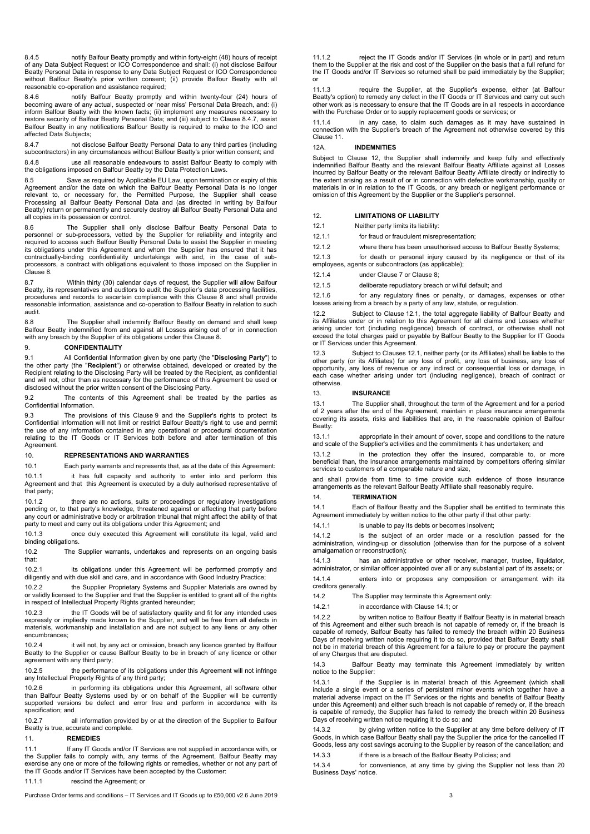8.4.5 notify Balfour Beatty promptly and within forty-eight (48) hours of receipt of any Data Subject Request or ICO Correspondence and shall: (i) not disclose Balfour Beatty Personal Data in response to any Data Subject Request or ICO Correspondence without Balfour Beatty's prior written consent; (ii) provide Balfour Beatty with all reasonable co-operation and assistance required;

8.4.6 notify Balfour Beatty promptly and within twenty-four (24) hours of becoming aware of any actual, suspected or 'near miss' Personal Data Breach, and: (i) inform Balfour Beatty with the known facts; (ii) implement any measures necessary to restore security of Balfour Beatty Personal Data; and (iii) subject to Clause 8.4.7, assist Balfour Beatty in any notifications Balfour Beatty is required to make to the ICO and affected Data Subjects;

8.4.7 not disclose Balfour Beatty Personal Data to any third parties (including subcontractors) in any circumstances without Balfour Beatty's prior written consent; and

8.4.8 use all reasonable endeavours to assist Balfour Beatty to comply with the obligations imposed on Balfour Beatty by the Data Protection Laws.

8.5 Save as required by Applicable EU Law, upon termination or expiry of this Agreement and/or the date on which the Balfour Beatty Personal Data is no longer relevant to, or necessary for, the Permitted Purpose, the Supplier shall cease Processing all Balfour Beatty Personal Data and (as directed in writing by Balfour Beatty) return or permanently and securely destroy all Balfour Beatty Personal Data and all copies in its possession or control.

8.6 The Supplier shall only disclose Balfour Beatty Personal Data to personnel or sub-processors, vetted by the Supplier for reliability and integrity and required to access such Balfour Beatty Personal Data to assist the Supplier in meeting its obligations under this Agreement and whom the Supplier has ensured that it has<br>contractually-binding confidentiality undertakings with and, in the case of sub-<br>processors, a contract with obligations equivalent to thos Clause 8.

8.7 Within thirty (30) calendar days of request, the Supplier will allow Balfour Beatty, its representatives and auditors to audit the Supplier's data processing facilities, procedures and records to ascertain compliance with this Clause 8 and shall provide reasonable information, assistance and co-operation to Balfour Beatty in relation to such audit.

8.8 The Supplier shall indemnify Balfour Beatty on demand and shall keep Balfour Beatty indemnified from and against all Losses arising out of or in connection with any breach by the Supplier of its obligations under this Clause 8.

# <span id="page-2-1"></span>9. **CONFIDENTIALITY**

<span id="page-2-0"></span>9.1 All Confidential Information given by one party (the "**Disclosing Party**") to the other party (the "**Recipient**") or otherwise obtained, developed or created by the Recipient relating to the Disclosing Party will be treated by the Recipient, as confidential and will not, other than as necessary for the performance of this Agreement be used or disclosed without the prior written consent of the Disclosing Party.

9.2 The contents of this Agreement shall be treated by the parties as Confidential Information.

9.3 The provisions of this Clause [9](#page-2-1) and the Supplier's rights to protect its Confidential Information will not limit or restrict Balfour Beatty's right to use and permit the use of any information contained in any operational or procedural documentation relating to the IT Goods or IT Services both before and after termination of this Agreement.

#### <span id="page-2-6"></span>10. **REPRESENTATIONS AND WARRANTIES**

10.1 Each party warrants and represents that, as at the date of this Agreement:

10.1.1 it has full capacity and authority to enter into and perform this<br>Agreement and that this Agreement is executed by a duly authorised representative of that party;

10.1.2 there are no actions, suits or proceedings or regulatory investigations pending or, to that party's knowledge, threatened against or affecting that party before any court or administrative body or arbitration tribunal that might affect the ability of that party to meet and carry out its obligations under this Agreement; and

10.1.3 once duly executed this Agreement will constitute its legal, valid and binding obligations.

10.2 The Supplier warrants, undertakes and represents on an ongoing basis that:

10.2.1 its obligations under this Agreement will be performed promptly and diligently and with due skill and care, and in accordance with Good Industry Practice;

10.2.2 the Supplier Proprietary Systems and Supplier Materials are owned by or validly licensed to the Supplier and that the Supplier is entitled to grant all of the rights in respect of Intellectual Property Rights granted hereunder;

10.2.3 the IT Goods will be of satisfactory quality and fit for any intended uses expressly or impliedly made known to the Supplier, and will be free from all defects in materials, workmanship and installation and are not subject to any liens or any other encumbrances;

10.2.4 it will not, by any act or omission, breach any licence granted by Balfour Beatty to the Supplier or cause Balfour Beatty to be in breach of any licence or other agreement with any third party;

10.2.5 the performance of its obligations under this Agreement will not infringe any Intellectual Property Rights of any third party;

10.2.6 in performing its obligations under this Agreement, all software other than Balfour Beatty Systems used by or on behalf of the Supplier will be currently supported versions be defect and error free and perform in accordance with its specification; and

10.2.7 all information provided by or at the direction of the Supplier to Balfour Beatty is true, accurate and complete.

### <span id="page-2-2"></span>11. **REMEDIES**

11.1 If any IT Goods and/or IT Services are not supplied in accordance with, or the Supplier fails to comply with, any terms of the Agreement, Balfour Beatty may exercise any one or more of the following rights or remedies, whether or not any part of the IT Goods and/or IT Services have been accepted by the Customer:

11.1.1 rescind the Agreement; or

Purchase Order terms and conditions – IT Services and IT Goods up to £50,000 v2.6 June 2019 3

11.1.2 reject the IT Goods and/or IT Services (in whole or in part) and return them to the Supplier at the risk and cost of the Supplier on the basis that a full refund for the IT Goods and/or IT Services so returned shall be paid immediately by the Supplier; or

11.1.3 require the Supplier, at the Supplier's expense, either (at Balfour Beatty's option) to remedy any defect in the IT Goods or IT Services and carry out such other work as is necessary to ensure that the IT Goods are in all respects in accordance with the Purchase Order or to supply replacement goods or services; or

11.1.4 in any case, to claim such damages as it may have sustained in connection with the Supplier's breach of the Agreement not otherwise covered by this Claus[e 11.](#page-2-2)

# 12A. **INDEMNITIES**

Subject to Clause 12, the Supplier shall indemnify and keep fully and effectively indemnified Balfour Beatty and the relevant Balfour Beatty Affiliate against all Losses incurred by Balfour Beatty or the relevant Balfour Beatty Affiliate directly or indirectly to the extent arising as a result of or in connection with defective workmanship, quality or materials in or in relation to the IT Goods, or any breach or negligent performance or omission of this Agreement by the Supplier or the Supplier's personnel.

#### <span id="page-2-7"></span>12. **LIMITATIONS OF LIABILITY**

<span id="page-2-3"></span>12.1 Neither party limits its liability:

<span id="page-2-5"></span>12.1.1 for fraud or fraudulent misrepresentation;

12.1.2 where there has been unauthorised access to Balfour Beatty Systems;

12.1.3 for death or personal injury caused by its negligence or that of its employees, agents or subcontractors (as applicable);

12.1.4 under Clause [7](#page-1-2) or Clause 8;

12.1.5 deliberate repudiatory breach or wilful default; and

12.1.6 for any regulatory fines or penalty, or damages, expenses or other losses arising from a breach by a party of any law, statute, or regulation.

12.2 Subject to Clause [12.1,](#page-2-3) the total aggregate liability of Balfour Beatty and its Affiliates under or in relation to this Agreement for all claims and Losses whether arising under tort (including negligence) breach of contract, or otherwise shall not exceed the total charges paid or payable by Balfour Beatty to the Supplier for IT Goods or IT Services under this Agreement.

12.3 Subject to Clauses [12.1,](#page-2-3) neither party (or its Affiliates) shall be liable to the other party (or its Affiliates) for any loss of profit, any loss of business, any loss of opportunity, any loss of revenue or any indirect or consequential loss or damage, in each case whether arising under tort (including negligence), breach of contract or otherwise.

### <span id="page-2-8"></span>13. **INSURANCE**

13.1 The Supplier shall, throughout the term of the Agreement and for a period of 2 years after the end of the Agreement, maintain in place insurance arrangements covering its assets, risks and liabilities that are, in the reasonable opinion of Balfour Beatty:

13.1.1 appropriate in their amount of cover, scope and conditions to the nature and scale of the Supplier's activities and the commitments it has undertaken; and

13.1.2 in the protection they offer the insured, comparable to, or more beneficial than, the insurance arrangements maintained by competitors offering similar services to customers of a comparable nature and size,

and shall provide from time to time provide such evidence of those insurance arrangements as the relevant Balfour Beatty Affiliate shall reasonably require.

# 14. **TERMINATION**

<span id="page-2-4"></span>14.1 Each of Balfour Beatty and the Supplier shall be entitled to terminate this Agreement immediately by written notice to the other party if that other party:

14.1.1 is unable to pay its debts or becomes insolvent;

14.1.2 is the subject of an order made or a resolution passed for the administration, winding-up or dissolution (otherwise than for the purpose of a solvent amalgamation or reconstruction);

14.1.3 has an administrative or other receiver, manager, trustee, liquidator, administrator, or similar officer appointed over all or any substantial part of its assets; or

14.1.4 enters into or proposes any composition or arrangement with its creditors generally.

14.2 The Supplier may terminate this Agreement only:

14.2.1 in accordance with Clause [14.1;](#page-2-4) or

14.2.2 by written notice to Balfour Beatty if Balfour Beatty is in material breach of this Agreement and either such breach is not capable of remedy or, if the breach is capable of remedy, Balfour Beatty has failed to remedy the breach within 20 Business Days of receiving written notice requiring it to do so, provided that Balfour Beatty shall not be in material breach of this Agreement for a failure to pay or procure the payment of any Charges that are disputed.

14.3 Balfour Beatty may terminate this Agreement immediately by written notice to the Supplier:

14.3.1 if the Supplier is in material breach of this Agreement (which shall include a single event or a series of persistent minor events which together have a material adverse impact on the IT Services or the rights and benefits of Balfour Beatty under this Agreement) and either such breach is not capable of remedy or, if the breach is capable of remedy, the Supplier has failed to remedy the breach within 20 Business Days of receiving written notice requiring it to do so; and

14.3.2 by giving written notice to the Supplier at any time before delivery of IT Goods, in which case Balfour Beatty shall pay the Supplier the price for the cancelled IT Goods, less any cost savings accruing to the Supplier by reason of the cancellation; and

14.3.3 if there is a breach of the Balfour Beatty Policies; and

14.3.4 for convenience, at any time by giving the Supplier not less than 20 Business Days' notice.